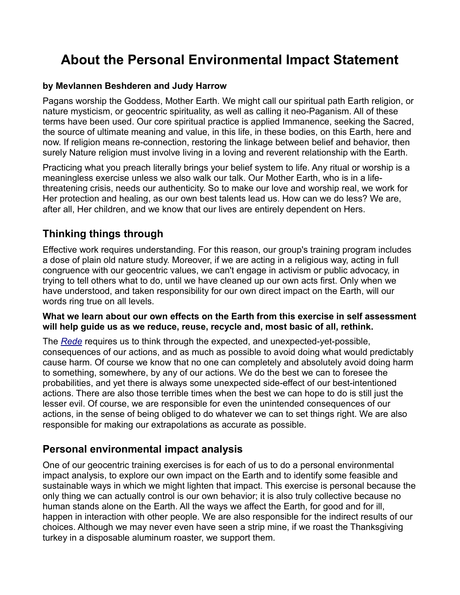# **About the Personal Environmental Impact Statement**

#### **by Mevlannen Beshderen and Judy Harrow**

Pagans worship the Goddess, Mother Earth. We might call our spiritual path Earth religion, or nature mysticism, or geocentric spirituality, as well as calling it neo-Paganism. All of these terms have been used. Our core spiritual practice is applied Immanence, seeking the Sacred, the source of ultimate meaning and value, in this life, in these bodies, on this Earth, here and now. If religion means re-connection, restoring the linkage between belief and behavior, then surely Nature religion must involve living in a loving and reverent relationship with the Earth.

Practicing what you preach literally brings your belief system to life. Any ritual or worship is a meaningless exercise unless we also walk our talk. Our Mother Earth, who is in a lifethreatening crisis, needs our authenticity. So to make our love and worship real, we work for Her protection and healing, as our own best talents lead us. How can we do less? We are, after all, Her children, and we know that our lives are entirely dependent on Hers.

## **Thinking things through**

Effective work requires understanding. For this reason, our group's training program includes a dose of plain old nature study. Moreover, if we are acting in a religious way, acting in full congruence with our geocentric values, we can't engage in activism or public advocacy, in trying to tell others what to do, until we have cleaned up our own acts first. Only when we have understood, and taken responsibility for our own direct impact on the Earth, will our words ring true on all levels.

#### **What we learn about our own effects on the Earth from this exercise in self assessment will help guide us as we reduce, reuse, recycle and, most basic of all, rethink.**

The *[Rede](http://proteuscoven.com/rede.htm)* requires us to think through the expected, and unexpected-yet-possible, consequences of our actions, and as much as possible to avoid doing what would predictably cause harm. Of course we know that no one can completely and absolutely avoid doing harm to something, somewhere, by any of our actions. We do the best we can to foresee the probabilities, and yet there is always some unexpected side-effect of our best-intentioned actions. There are also those terrible times when the best we can hope to do is still just the lesser evil. Of course, we are responsible for even the unintended consequences of our actions, in the sense of being obliged to do whatever we can to set things right. We are also responsible for making our extrapolations as accurate as possible.

#### **Personal environmental impact analysis**

One of our geocentric training exercises is for each of us to do a personal environmental impact analysis, to explore our own impact on the Earth and to identify some feasible and sustainable ways in which we might lighten that impact. This exercise is personal because the only thing we can actually control is our own behavior; it is also truly collective because no human stands alone on the Earth. All the ways we affect the Earth, for good and for ill, happen in interaction with other people. We are also responsible for the indirect results of our choices. Although we may never even have seen a strip mine, if we roast the Thanksgiving turkey in a disposable aluminum roaster, we support them.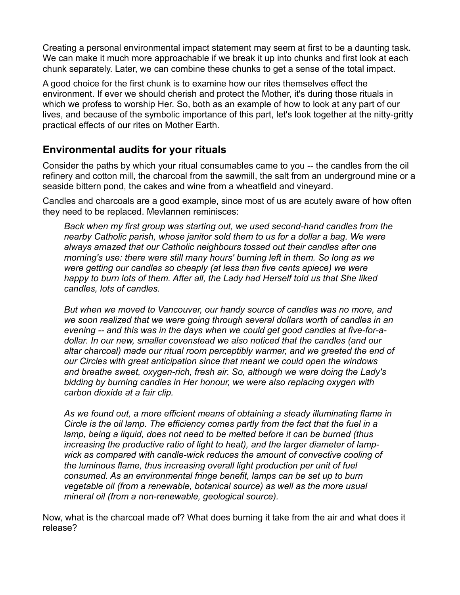Creating a personal environmental impact statement may seem at first to be a daunting task. We can make it much more approachable if we break it up into chunks and first look at each chunk separately. Later, we can combine these chunks to get a sense of the total impact.

A good choice for the first chunk is to examine how our rites themselves effect the environment. If ever we should cherish and protect the Mother, it's during those rituals in which we profess to worship Her. So, both as an example of how to look at any part of our lives, and because of the symbolic importance of this part, let's look together at the nitty-gritty practical effects of our rites on Mother Earth.

## **Environmental audits for your rituals**

Consider the paths by which your ritual consumables came to you -- the candles from the oil refinery and cotton mill, the charcoal from the sawmill, the salt from an underground mine or a seaside bittern pond, the cakes and wine from a wheatfield and vineyard.

Candles and charcoals are a good example, since most of us are acutely aware of how often they need to be replaced. Mevlannen reminisces:

*Back when my first group was starting out, we used second-hand candles from the nearby Catholic parish, whose janitor sold them to us for a dollar a bag. We were always amazed that our Catholic neighbours tossed out their candles after one morning's use: there were still many hours' burning left in them. So long as we were getting our candles so cheaply (at less than five cents apiece) we were happy to burn lots of them. After all, the Lady had Herself told us that She liked candles, lots of candles.*

*But when we moved to Vancouver, our handy source of candles was no more, and we soon realized that we were going through several dollars worth of candles in an evening -- and this was in the days when we could get good candles at five-for-adollar. In our new, smaller covenstead we also noticed that the candles (and our altar charcoal) made our ritual room perceptibly warmer, and we greeted the end of our Circles with great anticipation since that meant we could open the windows and breathe sweet, oxygen-rich, fresh air. So, although we were doing the Lady's bidding by burning candles in Her honour, we were also replacing oxygen with carbon dioxide at a fair clip.*

*As we found out, a more efficient means of obtaining a steady illuminating flame in Circle is the oil lamp. The efficiency comes partly from the fact that the fuel in a lamp, being a liquid, does not need to be melted before it can be burned (thus increasing the productive ratio of light to heat), and the larger diameter of lampwick as compared with candle-wick reduces the amount of convective cooling of the luminous flame, thus increasing overall light production per unit of fuel consumed. As an environmental fringe benefit, lamps can be set up to burn vegetable oil (from a renewable, botanical source) as well as the more usual mineral oil (from a non-renewable, geological source).*

Now, what is the charcoal made of? What does burning it take from the air and what does it release?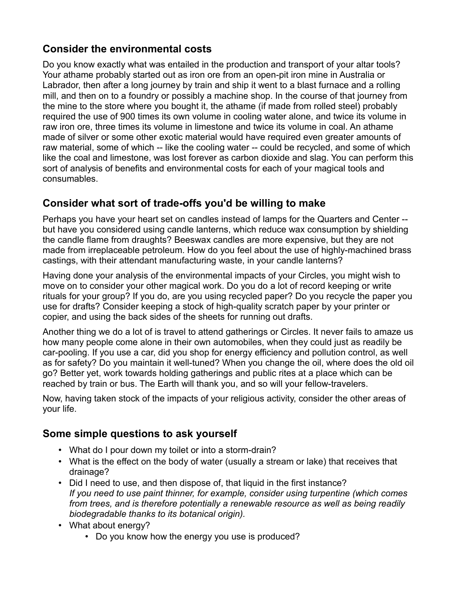# **Consider the environmental costs**

Do you know exactly what was entailed in the production and transport of your altar tools? Your athame probably started out as iron ore from an open-pit iron mine in Australia or Labrador, then after a long journey by train and ship it went to a blast furnace and a rolling mill, and then on to a foundry or possibly a machine shop. In the course of that journey from the mine to the store where you bought it, the athame (if made from rolled steel) probably required the use of 900 times its own volume in cooling water alone, and twice its volume in raw iron ore, three times its volume in limestone and twice its volume in coal. An athame made of silver or some other exotic material would have required even greater amounts of raw material, some of which -- like the cooling water -- could be recycled, and some of which like the coal and limestone, was lost forever as carbon dioxide and slag. You can perform this sort of analysis of benefits and environmental costs for each of your magical tools and consumables.

# **Consider what sort of trade-offs you'd be willing to make**

Perhaps you have your heart set on candles instead of lamps for the Quarters and Center - but have you considered using candle lanterns, which reduce wax consumption by shielding the candle flame from draughts? Beeswax candles are more expensive, but they are not made from irreplaceable petroleum. How do you feel about the use of highly-machined brass castings, with their attendant manufacturing waste, in your candle lanterns?

Having done your analysis of the environmental impacts of your Circles, you might wish to move on to consider your other magical work. Do you do a lot of record keeping or write rituals for your group? If you do, are you using recycled paper? Do you recycle the paper you use for drafts? Consider keeping a stock of high-quality scratch paper by your printer or copier, and using the back sides of the sheets for running out drafts.

Another thing we do a lot of is travel to attend gatherings or Circles. It never fails to amaze us how many people come alone in their own automobiles, when they could just as readily be car-pooling. If you use a car, did you shop for energy efficiency and pollution control, as well as for safety? Do you maintain it well-tuned? When you change the oil, where does the old oil go? Better yet, work towards holding gatherings and public rites at a place which can be reached by train or bus. The Earth will thank you, and so will your fellow-travelers.

Now, having taken stock of the impacts of your religious activity, consider the other areas of your life.

#### **Some simple questions to ask yourself**

- What do I pour down my toilet or into a storm-drain?
- What is the effect on the body of water (usually a stream or lake) that receives that drainage?
- Did I need to use, and then dispose of, that liquid in the first instance? *If you need to use paint thinner, for example, consider using turpentine (which comes from trees, and is therefore potentially a renewable resource as well as being readily biodegradable thanks to its botanical origin).*
- What about energy?
	- Do you know how the energy you use is produced?